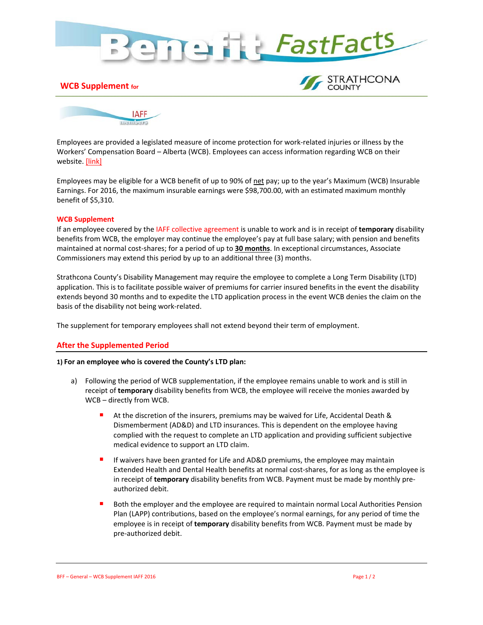

## **WCB Supplement for**





Employees are provided a legislated measure of income protection for work-related injuries or illness by the Workers' Compensation Board – Alberta (WCB). Employees can access information regarding WCB on their website[. \[link\]](http://www.wcb.ab.ca/)

Employees may be eligible for a WCB benefit of up to 90% of net pay; up to the year's Maximum (WCB) Insurable Earnings. For 2016, the maximum insurable earnings were \$98,700.00, with an estimated maximum monthly benefit of \$5,310.

### **WCB Supplement**

If an employee covered by the IAFF collective agreement is unable to work and is in receipt of **temporary** disability benefits from WCB, the employer may continue the employee's pay at full base salary; with pension and benefits maintained at normal cost-shares; for a period of up to **30 months**. In exceptional circumstances, Associate Commissioners may extend this period by up to an additional three (3) months.

Strathcona County's Disability Management may require the employee to complete a Long Term Disability (LTD) application. This is to facilitate possible waiver of premiums for carrier insured benefits in the event the disability extends beyond 30 months and to expedite the LTD application process in the event WCB denies the claim on the basis of the disability not being work-related.

The supplement for temporary employees shall not extend beyond their term of employment.

# **After the Supplemented Period**

#### **1) For an employee who is covered the County's LTD plan:**

- a) Following the period of WCB supplementation, if the employee remains unable to work and is still in receipt of **temporary** disability benefits from WCB, the employee will receive the monies awarded by WCB – directly from WCB.
	- At the discretion of the insurers, premiums may be waived for Life, Accidental Death & Dismemberment (AD&D) and LTD insurances. This is dependent on the employee having complied with the request to complete an LTD application and providing sufficient subjective medical evidence to support an LTD claim.
	- **If waivers have been granted for Life and AD&D premiums, the employee may maintain** Extended Health and Dental Health benefits at normal cost-shares, for as long as the employee is in receipt of **temporary** disability benefits from WCB. Payment must be made by monthly preauthorized debit.
	- Both the employer and the employee are required to maintain normal Local Authorities Pension Plan (LAPP) contributions, based on the employee's normal earnings, for any period of time the employee is in receipt of **temporary** disability benefits from WCB. Payment must be made by pre-authorized debit.